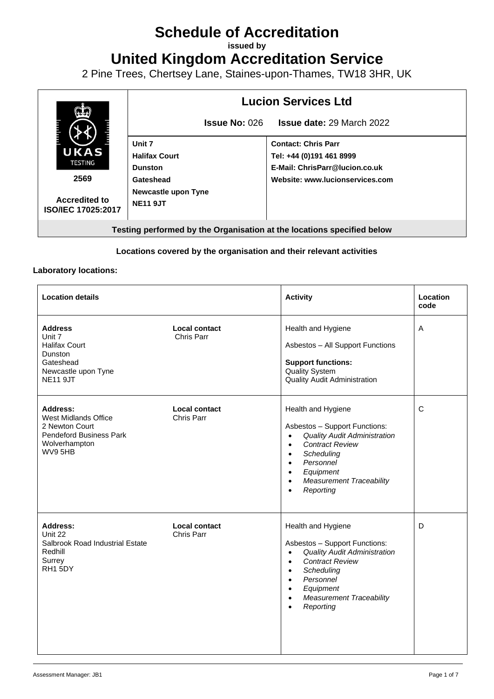# **Schedule of Accreditation**

**issued by**

**United Kingdom Accreditation Service**

2 Pine Trees, Chertsey Lane, Staines-upon-Thames, TW18 3HR, UK



#### **Locations covered by the organisation and their relevant activities**

#### **Laboratory locations:**

| <b>Location details</b>                                                                                            |                             | <b>Activity</b>                                                                                                                                                                                                                                                                                         | Location<br>code |
|--------------------------------------------------------------------------------------------------------------------|-----------------------------|---------------------------------------------------------------------------------------------------------------------------------------------------------------------------------------------------------------------------------------------------------------------------------------------------------|------------------|
| <b>Address</b><br>Unit 7<br><b>Halifax Court</b><br>Dunston<br>Gateshead<br>Newcastle upon Tyne<br><b>NE11 9JT</b> | Local contact<br>Chris Parr | Health and Hygiene<br>Asbestos - All Support Functions<br><b>Support functions:</b><br><b>Quality System</b><br><b>Quality Audit Administration</b>                                                                                                                                                     | A                |
| Address:<br>West Midlands Office<br>2 Newton Court<br><b>Pendeford Business Park</b><br>Wolverhampton<br>WV9 5HB   | Local contact<br>Chris Parr | Health and Hygiene<br>Asbestos - Support Functions:<br><b>Quality Audit Administration</b><br>$\bullet$<br><b>Contract Review</b><br>$\bullet$<br>Scheduling<br>$\bullet$<br>Personnel<br>$\bullet$<br>Equipment<br>$\bullet$<br><b>Measurement Traceability</b><br>$\bullet$<br>Reporting<br>$\bullet$ | C                |
| Address:<br>Unit 22<br>Salbrook Road Industrial Estate<br>Redhill<br>Surrey<br>RH <sub>1</sub> 5DY                 | Local contact<br>Chris Parr | Health and Hygiene<br>Asbestos - Support Functions:<br><b>Quality Audit Administration</b><br>$\bullet$<br><b>Contract Review</b><br>$\bullet$<br>Scheduling<br>$\bullet$<br>Personnel<br>$\bullet$<br>Equipment<br>$\bullet$<br><b>Measurement Traceability</b><br>$\bullet$<br>Reporting<br>$\bullet$ | D                |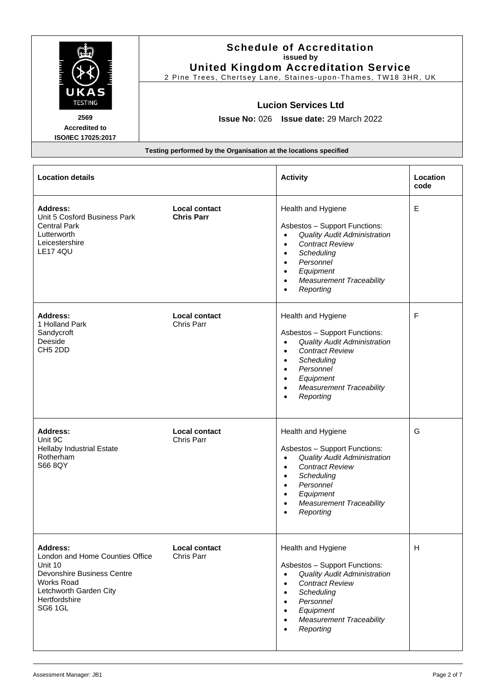| UKAS<br><b>TESTING</b>                                                                                                                                                 |                                                                  | <b>Schedule of Accreditation</b><br>issued by<br><b>United Kingdom Accreditation Service</b><br>2 Pine Trees, Chertsey Lane, Staines-upon-Thames, TW18 3HR, UK<br><b>Lucion Services Ltd</b>                                                                     |                  |
|------------------------------------------------------------------------------------------------------------------------------------------------------------------------|------------------------------------------------------------------|------------------------------------------------------------------------------------------------------------------------------------------------------------------------------------------------------------------------------------------------------------------|------------------|
| 2569                                                                                                                                                                   |                                                                  | Issue No: 026 Issue date: 29 March 2022                                                                                                                                                                                                                          |                  |
| <b>Accredited to</b><br>ISO/IEC 17025:2017                                                                                                                             |                                                                  |                                                                                                                                                                                                                                                                  |                  |
|                                                                                                                                                                        | Testing performed by the Organisation at the locations specified |                                                                                                                                                                                                                                                                  |                  |
| <b>Location details</b>                                                                                                                                                |                                                                  | <b>Activity</b>                                                                                                                                                                                                                                                  | Location<br>code |
| <b>Address:</b><br>Unit 5 Cosford Business Park<br><b>Central Park</b><br>Lutterworth<br>Leicestershire<br><b>LE17 4QU</b>                                             | Local contact<br><b>Chris Parr</b>                               | Health and Hygiene<br>Asbestos - Support Functions:<br><b>Quality Audit Administration</b><br>$\bullet$<br><b>Contract Review</b><br>$\bullet$<br>Scheduling<br>$\bullet$<br>Personnel<br>Equipment<br><b>Measurement Traceability</b><br>Reporting              | Е                |
| <b>Address:</b><br>1 Holland Park<br>Sandycroft<br>Deeside<br>CH <sub>5</sub> 2DD                                                                                      | <b>Local contact</b><br>Chris Parr                               | Health and Hygiene<br>Asbestos - Support Functions:<br><b>Quality Audit Administration</b><br><b>Contract Review</b><br>Scheduling<br>Personnel<br>Equipment<br>$\bullet$<br><b>Measurement Traceability</b><br>$\bullet$<br>Reporting                           | F                |
| <b>Address:</b><br>Unit 9C<br><b>Hellaby Industrial Estate</b><br>Rotherham<br>S66 8QY                                                                                 | Local contact<br>Chris Parr                                      | Health and Hygiene<br>Asbestos - Support Functions:<br><b>Quality Audit Administration</b><br><b>Contract Review</b><br>$\bullet$<br>Scheduling<br>Personnel<br>Equipment<br><b>Measurement Traceability</b><br>Reporting                                        | G                |
| <b>Address:</b><br>London and Home Counties Office<br>Unit 10<br>Devonshire Business Centre<br><b>Works Road</b><br>Letchworth Garden City<br>Hertfordshire<br>SG6 1GL | <b>Local contact</b><br>Chris Parr                               | Health and Hygiene<br>Asbestos - Support Functions:<br><b>Quality Audit Administration</b><br>$\bullet$<br><b>Contract Review</b><br>$\bullet$<br>Scheduling<br>$\bullet$<br>Personnel<br>$\bullet$<br>Equipment<br><b>Measurement Traceability</b><br>Reporting | H                |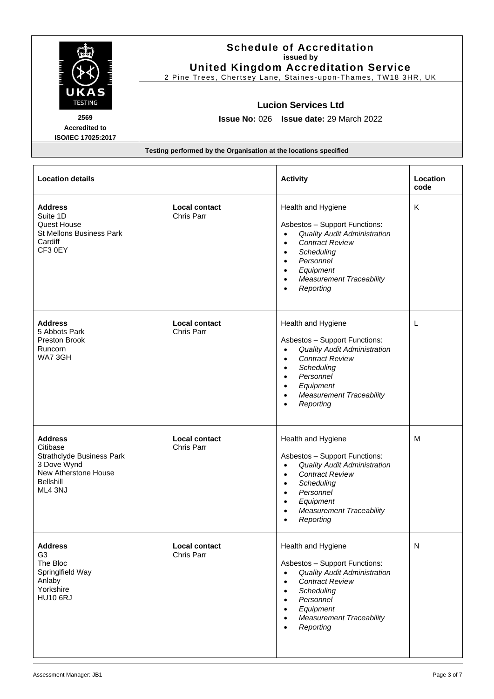| UKAS<br><b>TESTING</b>                                                                                                               |                                                                  | <b>Schedule of Accreditation</b><br>issued by<br><b>United Kingdom Accreditation Service</b><br>2 Pine Trees, Chertsey Lane, Staines-upon-Thames, TW18 3HR, UK<br><b>Lucion Services Ltd</b>                                                                                  |                  |
|--------------------------------------------------------------------------------------------------------------------------------------|------------------------------------------------------------------|-------------------------------------------------------------------------------------------------------------------------------------------------------------------------------------------------------------------------------------------------------------------------------|------------------|
| 2569                                                                                                                                 |                                                                  | Issue No: 026 Issue date: 29 March 2022                                                                                                                                                                                                                                       |                  |
| <b>Accredited to</b><br>ISO/IEC 17025:2017                                                                                           |                                                                  |                                                                                                                                                                                                                                                                               |                  |
|                                                                                                                                      | Testing performed by the Organisation at the locations specified |                                                                                                                                                                                                                                                                               |                  |
| <b>Location details</b>                                                                                                              |                                                                  | <b>Activity</b>                                                                                                                                                                                                                                                               | Location<br>code |
| <b>Address</b><br>Suite 1D<br>Quest House<br><b>St Mellons Business Park</b><br>Cardiff<br>CF3 0EY                                   | <b>Local contact</b><br>Chris Parr                               | Health and Hygiene<br>Asbestos - Support Functions:<br><b>Quality Audit Administration</b><br>$\bullet$<br><b>Contract Review</b><br>$\bullet$<br>Scheduling<br>Personnel<br>Equipment<br><b>Measurement Traceability</b><br>Reporting                                        | Κ                |
| <b>Address</b><br>5 Abbots Park<br>Preston Brook<br><b>Runcorn</b><br>WA73GH                                                         | <b>Local contact</b><br>Chris Parr                               | Health and Hygiene<br>Asbestos - Support Functions:<br><b>Quality Audit Administration</b><br>$\bullet$<br><b>Contract Review</b><br>$\bullet$<br>Scheduling<br>$\bullet$<br>Personnel<br>Equipment<br><b>Measurement Traceability</b><br>Reporting                           | L                |
| <b>Address</b><br>Citibase<br><b>Strathclyde Business Park</b><br>3 Dove Wynd<br>New Atherstone House<br><b>Bellshill</b><br>ML4 3NJ | <b>Local contact</b><br>Chris Parr                               | Health and Hygiene<br>Asbestos - Support Functions:<br><b>Quality Audit Administration</b><br>$\bullet$<br><b>Contract Review</b><br>$\bullet$<br>Scheduling<br>$\bullet$<br>Personnel<br>$\bullet$<br>Equipment<br>$\bullet$<br><b>Measurement Traceability</b><br>Reporting | м                |
| <b>Address</b><br>G <sub>3</sub><br>The Bloc<br>SpringIfield Way<br>Anlaby<br>Yorkshire<br><b>HU10 6RJ</b>                           | <b>Local contact</b><br>Chris Parr                               | Health and Hygiene<br>Asbestos - Support Functions:<br><b>Quality Audit Administration</b><br>$\bullet$<br><b>Contract Review</b><br>$\bullet$<br>Scheduling<br>Personnel<br>Equipment<br><b>Measurement Traceability</b><br>Reporting                                        | N                |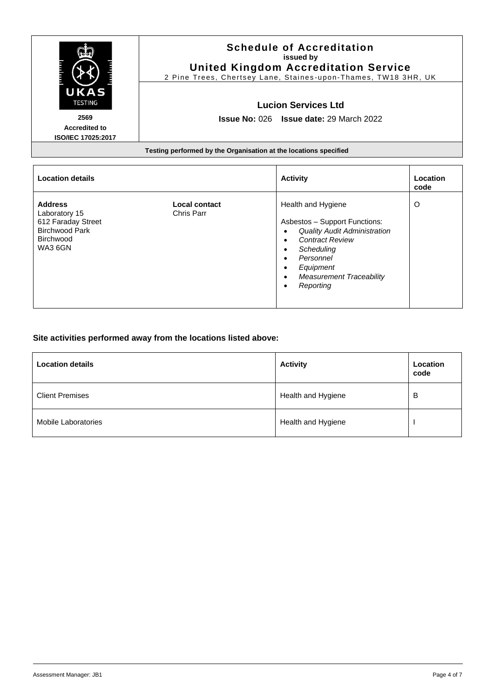| UKAS<br><b>TESTING</b>                                                         | <b>Schedule of Accreditation</b><br>issued by<br><b>United Kingdom Accreditation Service</b><br>2 Pine Trees, Chertsey Lane, Staines-upon-Thames, TW18 3HR, UK<br><b>Lucion Services Ltd</b> |                                                                                            |                  |
|--------------------------------------------------------------------------------|----------------------------------------------------------------------------------------------------------------------------------------------------------------------------------------------|--------------------------------------------------------------------------------------------|------------------|
| 2569                                                                           | <b>Issue No: 026 Issue date: 29 March 2022</b>                                                                                                                                               |                                                                                            |                  |
| <b>Accredited to</b>                                                           |                                                                                                                                                                                              |                                                                                            |                  |
| <b>ISO/IEC 17025:2017</b>                                                      |                                                                                                                                                                                              |                                                                                            |                  |
|                                                                                | Testing performed by the Organisation at the locations specified                                                                                                                             |                                                                                            |                  |
| <b>Location details</b>                                                        |                                                                                                                                                                                              | <b>Activity</b>                                                                            | Location<br>code |
| <b>Address</b><br>Laboratory 15<br>612 Faraday Street<br><b>Birchwood Park</b> | Local contact<br><b>Chris Parr</b>                                                                                                                                                           | Health and Hygiene<br>Asbestos - Support Functions:<br><b>Quality Audit Administration</b> | O                |

• *Contract Review* • *Scheduling* • *Personnel* • *Equipment*

• *Reporting*

• *Measurement Traceability*

### **Site activities performed away from the locations listed above:**

| <b>Location details</b>    | <b>Activity</b>    | Location<br>code |
|----------------------------|--------------------|------------------|
| <b>Client Premises</b>     | Health and Hygiene | В                |
| <b>Mobile Laboratories</b> | Health and Hygiene |                  |

Birchwood WA3 6GN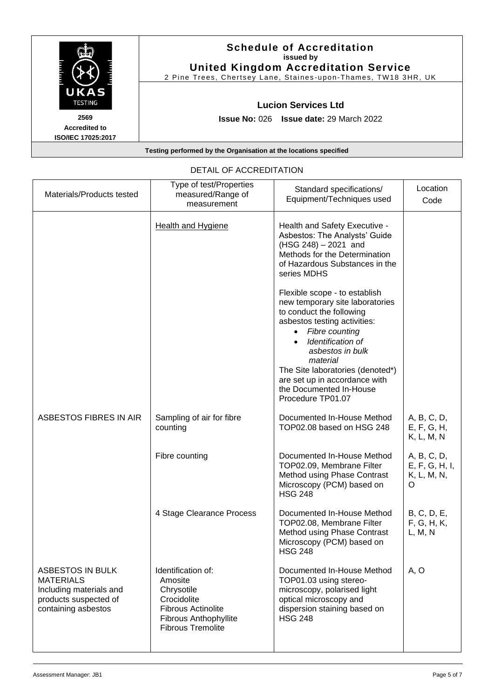|                                                           | <b>Schedule of Accreditation</b><br>issued by<br><b>United Kingdom Accreditation Service</b><br>2 Pine Trees, Chertsey Lane, Staines-upon-Thames, TW18 3HR, UK |
|-----------------------------------------------------------|----------------------------------------------------------------------------------------------------------------------------------------------------------------|
| <b>UKAS</b><br><b>TESTING</b>                             | <b>Lucion Services Ltd</b>                                                                                                                                     |
| 2569<br><b>Accredited to</b><br><b>ISO/IEC 17025:2017</b> | <b>Issue No: 026 Issue date: 29 March 2022</b>                                                                                                                 |
|                                                           | Testing performed by the Organisation at the locations specified                                                                                               |

| Materials/Products tested                                                                                              | Type of test/Properties<br>measured/Range of<br>measurement                                                                                  | Standard specifications/<br>Equipment/Techniques used                                                                                                                                                                                                                                                                    | Location<br>Code                                  |
|------------------------------------------------------------------------------------------------------------------------|----------------------------------------------------------------------------------------------------------------------------------------------|--------------------------------------------------------------------------------------------------------------------------------------------------------------------------------------------------------------------------------------------------------------------------------------------------------------------------|---------------------------------------------------|
|                                                                                                                        | <b>Health and Hygiene</b>                                                                                                                    | Health and Safety Executive -<br>Asbestos: The Analysts' Guide<br>$(HSG 248) - 2021$ and<br>Methods for the Determination<br>of Hazardous Substances in the<br>series MDHS                                                                                                                                               |                                                   |
|                                                                                                                        |                                                                                                                                              | Flexible scope - to establish<br>new temporary site laboratories<br>to conduct the following<br>asbestos testing activities:<br>Fibre counting<br>Identification of<br>asbestos in bulk<br>material<br>The Site laboratories (denoted*)<br>are set up in accordance with<br>the Documented In-House<br>Procedure TP01.07 |                                                   |
| <b>ASBESTOS FIBRES IN AIR</b>                                                                                          | Sampling of air for fibre<br>counting                                                                                                        | Documented In-House Method<br>TOP02.08 based on HSG 248                                                                                                                                                                                                                                                                  | A, B, C, D,<br>E, F, G, H,<br>K, L, M, N          |
|                                                                                                                        | Fibre counting                                                                                                                               | Documented In-House Method<br>TOP02.09, Membrane Filter<br>Method using Phase Contrast<br>Microscopy (PCM) based on<br><b>HSG 248</b>                                                                                                                                                                                    | A, B, C, D,<br>E, F, G, H, I,<br>K, L, M, N,<br>O |
|                                                                                                                        | 4 Stage Clearance Process                                                                                                                    | Documented In-House Method<br>TOP02.08, Membrane Filter<br>Method using Phase Contrast<br>Microscopy (PCM) based on<br><b>HSG 248</b>                                                                                                                                                                                    | B, C, D, E,<br>F, G, H, K,<br>L, M, N             |
| <b>ASBESTOS IN BULK</b><br><b>MATERIALS</b><br>Including materials and<br>products suspected of<br>containing asbestos | Identification of:<br>Amosite<br>Chrysotile<br>Crocidolite<br><b>Fibrous Actinolite</b><br>Fibrous Anthophyllite<br><b>Fibrous Tremolite</b> | Documented In-House Method<br>TOP01.03 using stereo-<br>microscopy, polarised light<br>optical microscopy and<br>dispersion staining based on<br><b>HSG 248</b>                                                                                                                                                          | A, O                                              |

## DETAIL OF ACCREDITATION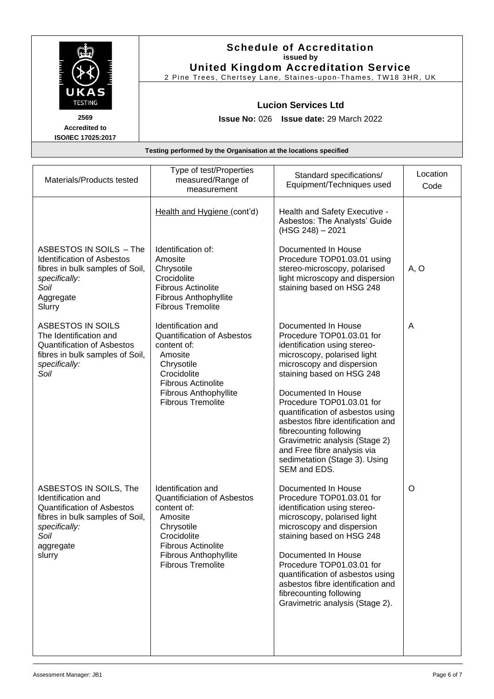|                                                           | <b>Schedule of Accreditation</b><br>issued by<br><b>United Kingdom Accreditation Service</b><br>2 Pine Trees, Chertsey Lane, Staines-upon-Thames, TW18 3HR, UK |
|-----------------------------------------------------------|----------------------------------------------------------------------------------------------------------------------------------------------------------------|
| UKAS<br><b>TESTING</b>                                    | <b>Lucion Services Ltd</b>                                                                                                                                     |
| 2569<br><b>Accredited to</b><br><b>ISO/IEC 17025:2017</b> | <b>Issue No: 026 Issue date: 29 March 2022</b>                                                                                                                 |
|                                                           | Testing performed by the Organisation at the locations specified                                                                                               |

| Materials/Products tested                                                                                                                                            | Type of test/Properties<br>measured/Range of<br>measurement                                                                                                                                             | Standard specifications/<br>Equipment/Techniques used                                                                                                                                                                                                                                                                                                                                                                                               | Location<br>Code |
|----------------------------------------------------------------------------------------------------------------------------------------------------------------------|---------------------------------------------------------------------------------------------------------------------------------------------------------------------------------------------------------|-----------------------------------------------------------------------------------------------------------------------------------------------------------------------------------------------------------------------------------------------------------------------------------------------------------------------------------------------------------------------------------------------------------------------------------------------------|------------------|
|                                                                                                                                                                      | Health and Hygiene (cont'd)                                                                                                                                                                             | Health and Safety Executive -<br>Asbestos: The Analysts' Guide<br>(HSG 248) - 2021                                                                                                                                                                                                                                                                                                                                                                  |                  |
| ASBESTOS IN SOILS - The<br><b>Identification of Asbestos</b><br>fibres in bulk samples of Soil,<br>specifically:<br>Soil<br>Aggregate<br>Slurry                      | Identification of:<br>Amosite<br>Chrysotile<br>Crocidolite<br><b>Fibrous Actinolite</b><br><b>Fibrous Anthophyllite</b><br><b>Fibrous Tremolite</b>                                                     | Documented In House<br>Procedure TOP01.03.01 using<br>stereo-microscopy, polarised<br>light microscopy and dispersion<br>staining based on HSG 248                                                                                                                                                                                                                                                                                                  | A, O             |
| ASBESTOS IN SOILS<br>The Identification and<br><b>Quantification of Asbestos</b><br>fibres in bulk samples of Soil,<br>specifically:<br>Soil                         | Identification and<br><b>Quantification of Asbestos</b><br>content of:<br>Amosite<br>Chrysotile<br>Crocidolite<br><b>Fibrous Actinolite</b><br><b>Fibrous Anthophyllite</b><br><b>Fibrous Tremolite</b> | Documented In House<br>Procedure TOP01.03.01 for<br>identification using stereo-<br>microscopy, polarised light<br>microscopy and dispersion<br>staining based on HSG 248<br>Documented In House<br>Procedure TOP01.03.01 for<br>quantification of asbestos using<br>asbestos fibre identification and<br>fibrecounting following<br>Gravimetric analysis (Stage 2)<br>and Free fibre analysis via<br>sedimetation (Stage 3). Using<br>SEM and EDS. | A                |
| ASBESTOS IN SOILS, The<br>Identification and<br><b>Quantification of Asbestos</b><br>fibres in bulk samples of Soil,<br>specifically:<br>Soil<br>aggregate<br>slurry | Identification and<br><b>Quantificiation of Asbestos</b><br>content of:<br>Amosite<br>Chrysotile<br>Crocidolite<br><b>Fibrous Actinolite</b><br>Fibrous Anthophyllite<br><b>Fibrous Tremolite</b>       | Documented In House<br>Procedure TOP01.03.01 for<br>identification using stereo-<br>microscopy, polarised light<br>microscopy and dispersion<br>staining based on HSG 248<br>Documented In House<br>Procedure TOP01.03.01 for<br>quantification of asbestos using<br>asbestos fibre identification and<br>fibrecounting following<br>Gravimetric analysis (Stage 2).                                                                                | O                |